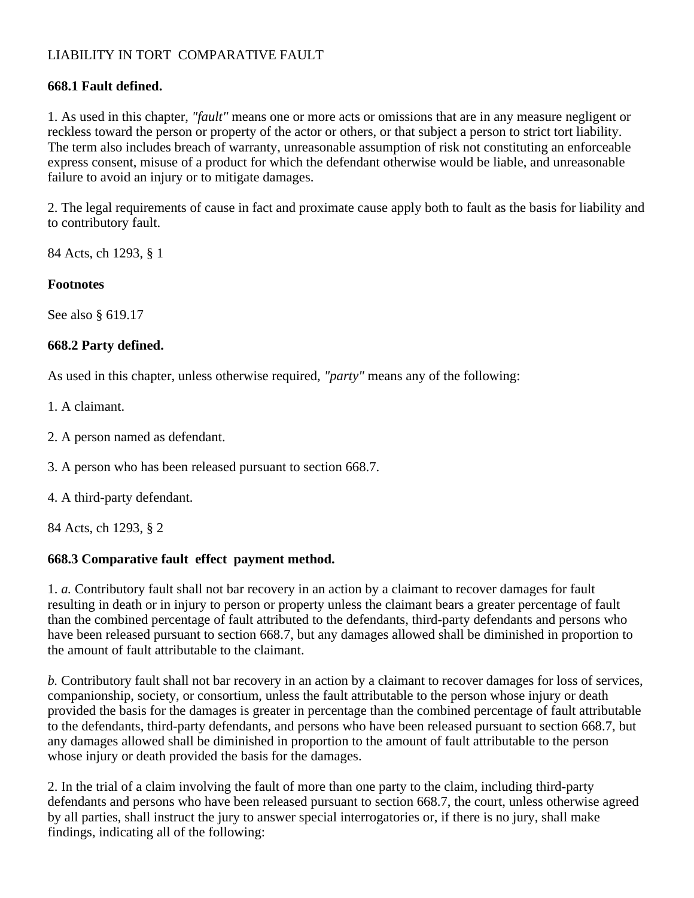# LIABILITY IN TORT COMPARATIVE FAULT

### **668.1 Fault defined.**

1. As used in this chapter, *"fault"* means one or more acts or omissions that are in any measure negligent or reckless toward the person or property of the actor or others, or that subject a person to strict tort liability. The term also includes breach of warranty, unreasonable assumption of risk not constituting an enforceable express consent, misuse of a product for which the defendant otherwise would be liable, and unreasonable failure to avoid an injury or to mitigate damages.

2. The legal requirements of cause in fact and proximate cause apply both to fault as the basis for liability and to contributory fault.

84 Acts, ch 1293, § 1

#### **Footnotes**

See also § 619.17

#### **668.2 Party defined.**

As used in this chapter, unless otherwise required, *"party"* means any of the following:

- 1. A claimant.
- 2. A person named as defendant.
- 3. A person who has been released pursuant to section 668.7.
- 4. A third-party defendant.

84 Acts, ch 1293, § 2

#### **668.3 Comparative fault effect payment method.**

1. *a.* Contributory fault shall not bar recovery in an action by a claimant to recover damages for fault resulting in death or in injury to person or property unless the claimant bears a greater percentage of fault than the combined percentage of fault attributed to the defendants, third-party defendants and persons who have been released pursuant to section 668.7, but any damages allowed shall be diminished in proportion to the amount of fault attributable to the claimant.

*b.* Contributory fault shall not bar recovery in an action by a claimant to recover damages for loss of services, companionship, society, or consortium, unless the fault attributable to the person whose injury or death provided the basis for the damages is greater in percentage than the combined percentage of fault attributable to the defendants, third-party defendants, and persons who have been released pursuant to section 668.7, but any damages allowed shall be diminished in proportion to the amount of fault attributable to the person whose injury or death provided the basis for the damages.

2. In the trial of a claim involving the fault of more than one party to the claim, including third-party defendants and persons who have been released pursuant to section 668.7, the court, unless otherwise agreed by all parties, shall instruct the jury to answer special interrogatories or, if there is no jury, shall make findings, indicating all of the following: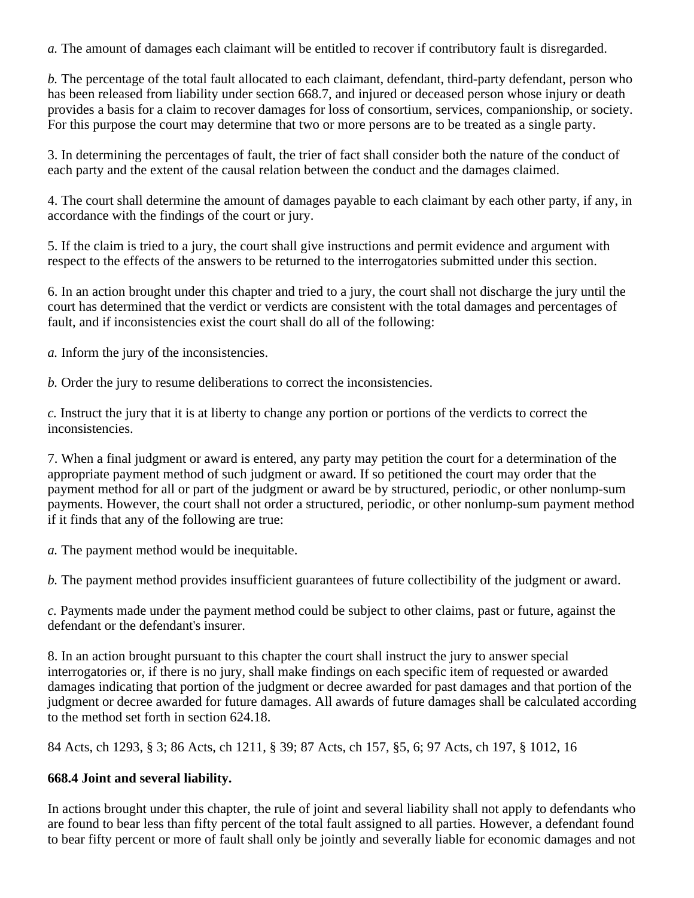*a.* The amount of damages each claimant will be entitled to recover if contributory fault is disregarded.

*b.* The percentage of the total fault allocated to each claimant, defendant, third-party defendant, person who has been released from liability under section 668.7, and injured or deceased person whose injury or death provides a basis for a claim to recover damages for loss of consortium, services, companionship, or society. For this purpose the court may determine that two or more persons are to be treated as a single party.

3. In determining the percentages of fault, the trier of fact shall consider both the nature of the conduct of each party and the extent of the causal relation between the conduct and the damages claimed.

4. The court shall determine the amount of damages payable to each claimant by each other party, if any, in accordance with the findings of the court or jury.

5. If the claim is tried to a jury, the court shall give instructions and permit evidence and argument with respect to the effects of the answers to be returned to the interrogatories submitted under this section.

6. In an action brought under this chapter and tried to a jury, the court shall not discharge the jury until the court has determined that the verdict or verdicts are consistent with the total damages and percentages of fault, and if inconsistencies exist the court shall do all of the following:

*a.* Inform the jury of the inconsistencies.

*b.* Order the jury to resume deliberations to correct the inconsistencies.

*c.* Instruct the jury that it is at liberty to change any portion or portions of the verdicts to correct the inconsistencies.

7. When a final judgment or award is entered, any party may petition the court for a determination of the appropriate payment method of such judgment or award. If so petitioned the court may order that the payment method for all or part of the judgment or award be by structured, periodic, or other nonlump-sum payments. However, the court shall not order a structured, periodic, or other nonlump-sum payment method if it finds that any of the following are true:

*a.* The payment method would be inequitable.

*b.* The payment method provides insufficient guarantees of future collectibility of the judgment or award.

*c.* Payments made under the payment method could be subject to other claims, past or future, against the defendant or the defendant's insurer.

8. In an action brought pursuant to this chapter the court shall instruct the jury to answer special interrogatories or, if there is no jury, shall make findings on each specific item of requested or awarded damages indicating that portion of the judgment or decree awarded for past damages and that portion of the judgment or decree awarded for future damages. All awards of future damages shall be calculated according to the method set forth in section 624.18.

84 Acts, ch 1293, § 3; 86 Acts, ch 1211, § 39; 87 Acts, ch 157, §5, 6; 97 Acts, ch 197, § 1012, 16

# **668.4 Joint and several liability.**

In actions brought under this chapter, the rule of joint and several liability shall not apply to defendants who are found to bear less than fifty percent of the total fault assigned to all parties. However, a defendant found to bear fifty percent or more of fault shall only be jointly and severally liable for economic damages and not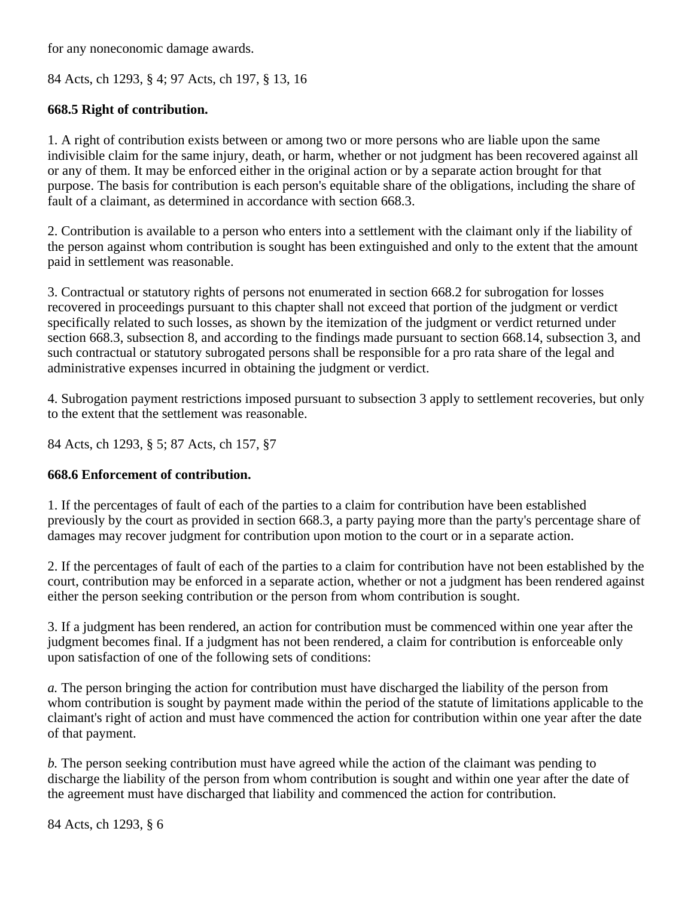for any noneconomic damage awards.

84 Acts, ch 1293, § 4; 97 Acts, ch 197, § 13, 16

## **668.5 Right of contribution.**

1. A right of contribution exists between or among two or more persons who are liable upon the same indivisible claim for the same injury, death, or harm, whether or not judgment has been recovered against all or any of them. It may be enforced either in the original action or by a separate action brought for that purpose. The basis for contribution is each person's equitable share of the obligations, including the share of fault of a claimant, as determined in accordance with section 668.3.

2. Contribution is available to a person who enters into a settlement with the claimant only if the liability of the person against whom contribution is sought has been extinguished and only to the extent that the amount paid in settlement was reasonable.

3. Contractual or statutory rights of persons not enumerated in section 668.2 for subrogation for losses recovered in proceedings pursuant to this chapter shall not exceed that portion of the judgment or verdict specifically related to such losses, as shown by the itemization of the judgment or verdict returned under section 668.3, subsection 8, and according to the findings made pursuant to section 668.14, subsection 3, and such contractual or statutory subrogated persons shall be responsible for a pro rata share of the legal and administrative expenses incurred in obtaining the judgment or verdict.

4. Subrogation payment restrictions imposed pursuant to subsection 3 apply to settlement recoveries, but only to the extent that the settlement was reasonable.

84 Acts, ch 1293, § 5; 87 Acts, ch 157, §7

## **668.6 Enforcement of contribution.**

1. If the percentages of fault of each of the parties to a claim for contribution have been established previously by the court as provided in section 668.3, a party paying more than the party's percentage share of damages may recover judgment for contribution upon motion to the court or in a separate action.

2. If the percentages of fault of each of the parties to a claim for contribution have not been established by the court, contribution may be enforced in a separate action, whether or not a judgment has been rendered against either the person seeking contribution or the person from whom contribution is sought.

3. If a judgment has been rendered, an action for contribution must be commenced within one year after the judgment becomes final. If a judgment has not been rendered, a claim for contribution is enforceable only upon satisfaction of one of the following sets of conditions:

*a.* The person bringing the action for contribution must have discharged the liability of the person from whom contribution is sought by payment made within the period of the statute of limitations applicable to the claimant's right of action and must have commenced the action for contribution within one year after the date of that payment.

*b.* The person seeking contribution must have agreed while the action of the claimant was pending to discharge the liability of the person from whom contribution is sought and within one year after the date of the agreement must have discharged that liability and commenced the action for contribution.

84 Acts, ch 1293, § 6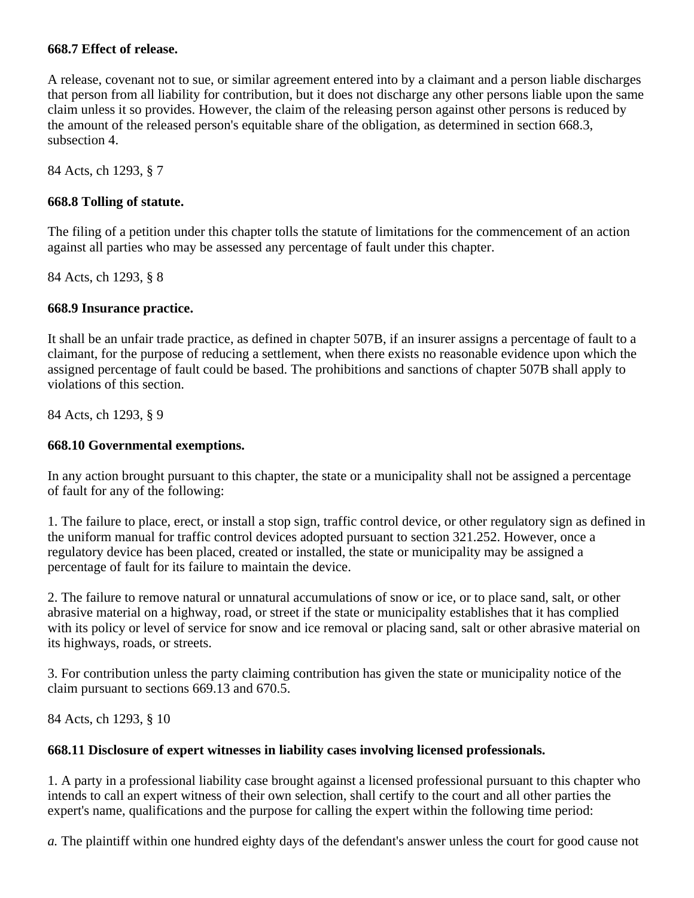### **668.7 Effect of release.**

A release, covenant not to sue, or similar agreement entered into by a claimant and a person liable discharges that person from all liability for contribution, but it does not discharge any other persons liable upon the same claim unless it so provides. However, the claim of the releasing person against other persons is reduced by the amount of the released person's equitable share of the obligation, as determined in section 668.3, subsection 4.

84 Acts, ch 1293, § 7

### **668.8 Tolling of statute.**

The filing of a petition under this chapter tolls the statute of limitations for the commencement of an action against all parties who may be assessed any percentage of fault under this chapter.

84 Acts, ch 1293, § 8

### **668.9 Insurance practice.**

It shall be an unfair trade practice, as defined in chapter 507B, if an insurer assigns a percentage of fault to a claimant, for the purpose of reducing a settlement, when there exists no reasonable evidence upon which the assigned percentage of fault could be based. The prohibitions and sanctions of chapter 507B shall apply to violations of this section.

84 Acts, ch 1293, § 9

## **668.10 Governmental exemptions.**

In any action brought pursuant to this chapter, the state or a municipality shall not be assigned a percentage of fault for any of the following:

1. The failure to place, erect, or install a stop sign, traffic control device, or other regulatory sign as defined in the uniform manual for traffic control devices adopted pursuant to section 321.252. However, once a regulatory device has been placed, created or installed, the state or municipality may be assigned a percentage of fault for its failure to maintain the device.

2. The failure to remove natural or unnatural accumulations of snow or ice, or to place sand, salt, or other abrasive material on a highway, road, or street if the state or municipality establishes that it has complied with its policy or level of service for snow and ice removal or placing sand, salt or other abrasive material on its highways, roads, or streets.

3. For contribution unless the party claiming contribution has given the state or municipality notice of the claim pursuant to sections 669.13 and 670.5.

84 Acts, ch 1293, § 10

#### **668.11 Disclosure of expert witnesses in liability cases involving licensed professionals.**

1. A party in a professional liability case brought against a licensed professional pursuant to this chapter who intends to call an expert witness of their own selection, shall certify to the court and all other parties the expert's name, qualifications and the purpose for calling the expert within the following time period:

*a.* The plaintiff within one hundred eighty days of the defendant's answer unless the court for good cause not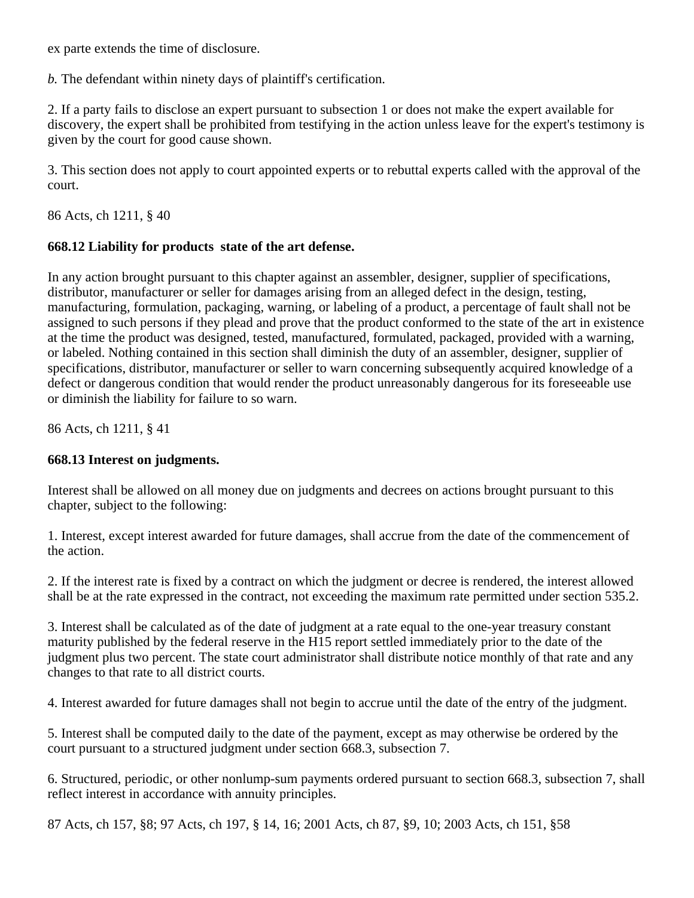ex parte extends the time of disclosure.

*b.* The defendant within ninety days of plaintiff's certification.

2. If a party fails to disclose an expert pursuant to subsection 1 or does not make the expert available for discovery, the expert shall be prohibited from testifying in the action unless leave for the expert's testimony is given by the court for good cause shown.

3. This section does not apply to court appointed experts or to rebuttal experts called with the approval of the court.

86 Acts, ch 1211, § 40

## **668.12 Liability for products state of the art defense.**

In any action brought pursuant to this chapter against an assembler, designer, supplier of specifications, distributor, manufacturer or seller for damages arising from an alleged defect in the design, testing, manufacturing, formulation, packaging, warning, or labeling of a product, a percentage of fault shall not be assigned to such persons if they plead and prove that the product conformed to the state of the art in existence at the time the product was designed, tested, manufactured, formulated, packaged, provided with a warning, or labeled. Nothing contained in this section shall diminish the duty of an assembler, designer, supplier of specifications, distributor, manufacturer or seller to warn concerning subsequently acquired knowledge of a defect or dangerous condition that would render the product unreasonably dangerous for its foreseeable use or diminish the liability for failure to so warn.

86 Acts, ch 1211, § 41

## **668.13 Interest on judgments.**

Interest shall be allowed on all money due on judgments and decrees on actions brought pursuant to this chapter, subject to the following:

1. Interest, except interest awarded for future damages, shall accrue from the date of the commencement of the action.

2. If the interest rate is fixed by a contract on which the judgment or decree is rendered, the interest allowed shall be at the rate expressed in the contract, not exceeding the maximum rate permitted under section 535.2.

3. Interest shall be calculated as of the date of judgment at a rate equal to the one-year treasury constant maturity published by the federal reserve in the H15 report settled immediately prior to the date of the judgment plus two percent. The state court administrator shall distribute notice monthly of that rate and any changes to that rate to all district courts.

4. Interest awarded for future damages shall not begin to accrue until the date of the entry of the judgment.

5. Interest shall be computed daily to the date of the payment, except as may otherwise be ordered by the court pursuant to a structured judgment under section 668.3, subsection 7.

6. Structured, periodic, or other nonlump-sum payments ordered pursuant to section 668.3, subsection 7, shall reflect interest in accordance with annuity principles.

87 Acts, ch 157, §8; 97 Acts, ch 197, § 14, 16; 2001 Acts, ch 87, §9, 10; 2003 Acts, ch 151, §58